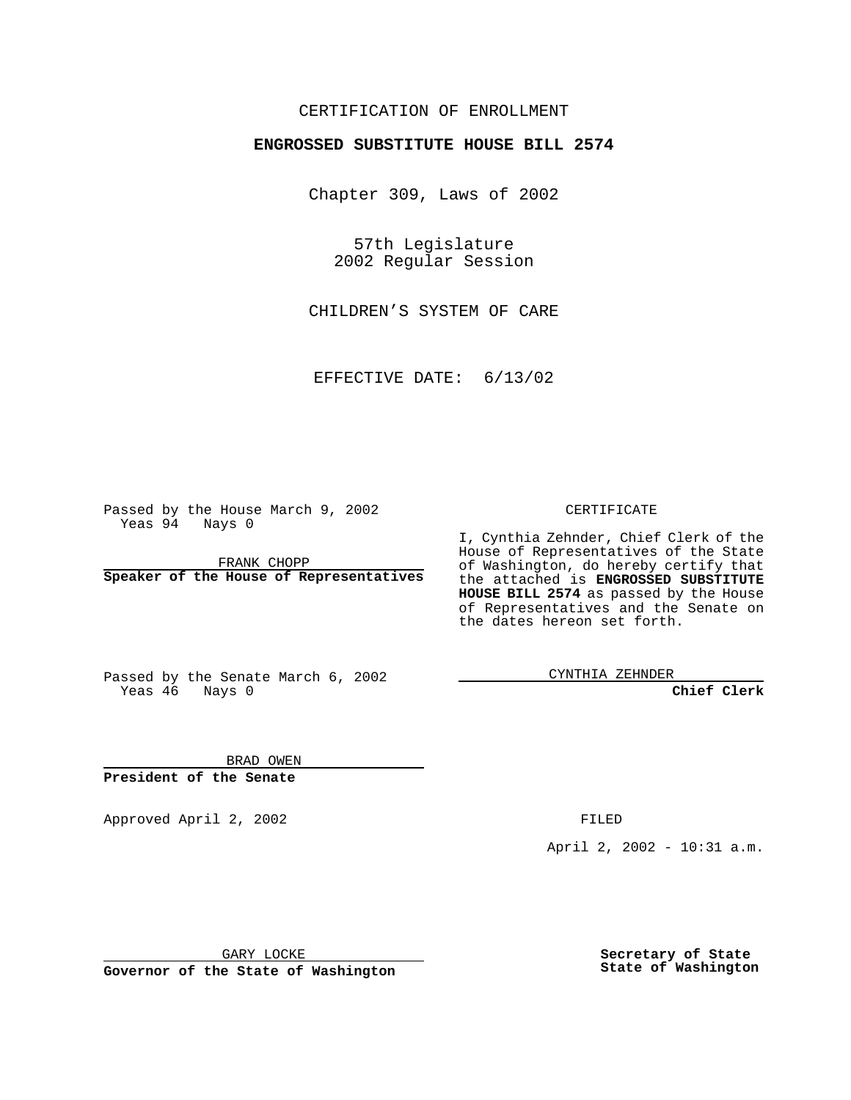## CERTIFICATION OF ENROLLMENT

# **ENGROSSED SUBSTITUTE HOUSE BILL 2574**

Chapter 309, Laws of 2002

57th Legislature 2002 Regular Session

CHILDREN'S SYSTEM OF CARE

EFFECTIVE DATE: 6/13/02

Passed by the House March 9, 2002 Yeas 94 Nays 0

FRANK CHOPP **Speaker of the House of Representatives** CERTIFICATE

I, Cynthia Zehnder, Chief Clerk of the House of Representatives of the State of Washington, do hereby certify that the attached is **ENGROSSED SUBSTITUTE HOUSE BILL 2574** as passed by the House of Representatives and the Senate on the dates hereon set forth.

Passed by the Senate March 6, 2002 Yeas 46 Nays 0

CYNTHIA ZEHNDER

**Chief Clerk**

BRAD OWEN **President of the Senate**

Approved April 2, 2002 **FILED** 

April 2, 2002 - 10:31 a.m.

GARY LOCKE

**Governor of the State of Washington**

**Secretary of State State of Washington**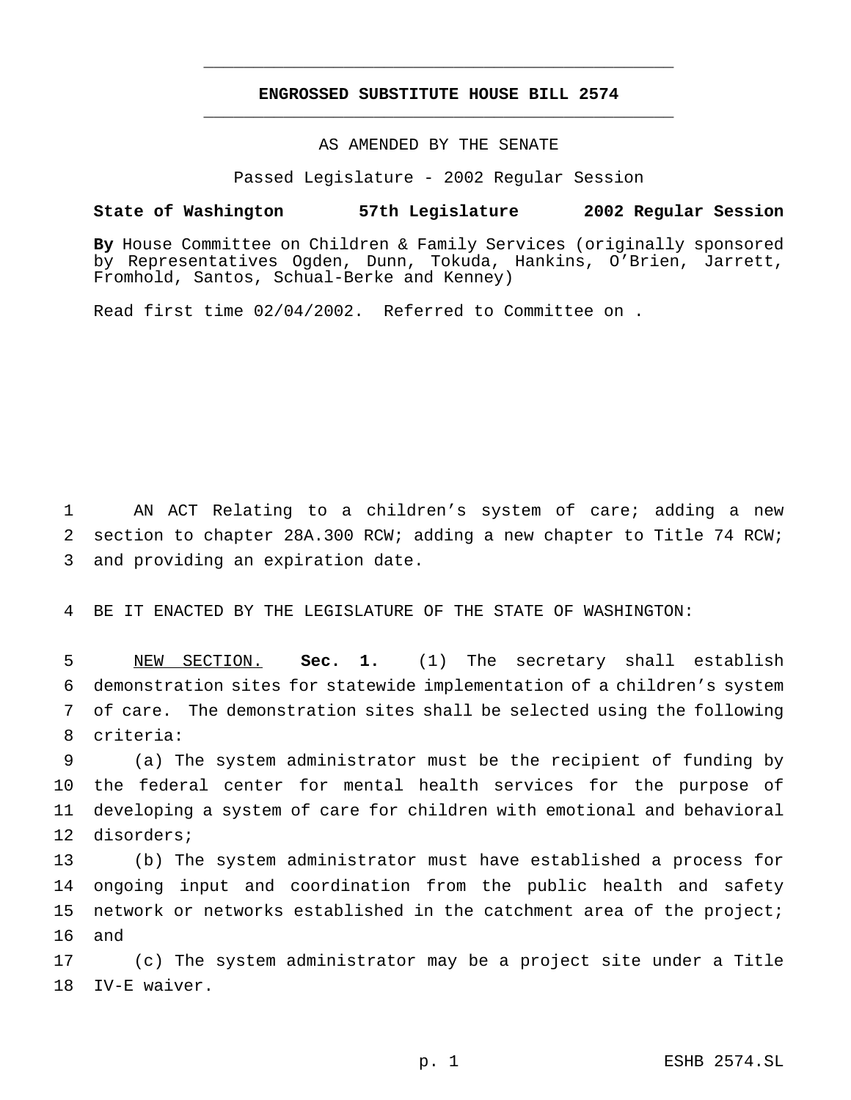## **ENGROSSED SUBSTITUTE HOUSE BILL 2574** \_\_\_\_\_\_\_\_\_\_\_\_\_\_\_\_\_\_\_\_\_\_\_\_\_\_\_\_\_\_\_\_\_\_\_\_\_\_\_\_\_\_\_\_\_\_\_

\_\_\_\_\_\_\_\_\_\_\_\_\_\_\_\_\_\_\_\_\_\_\_\_\_\_\_\_\_\_\_\_\_\_\_\_\_\_\_\_\_\_\_\_\_\_\_

### AS AMENDED BY THE SENATE

Passed Legislature - 2002 Regular Session

#### **State of Washington 57th Legislature 2002 Regular Session**

**By** House Committee on Children & Family Services (originally sponsored by Representatives Ogden, Dunn, Tokuda, Hankins, O'Brien, Jarrett, Fromhold, Santos, Schual-Berke and Kenney)

Read first time 02/04/2002. Referred to Committee on .

 AN ACT Relating to a children's system of care; adding a new section to chapter 28A.300 RCW; adding a new chapter to Title 74 RCW; and providing an expiration date.

BE IT ENACTED BY THE LEGISLATURE OF THE STATE OF WASHINGTON:

 NEW SECTION. **Sec. 1.** (1) The secretary shall establish demonstration sites for statewide implementation of a children's system of care. The demonstration sites shall be selected using the following criteria:

 (a) The system administrator must be the recipient of funding by the federal center for mental health services for the purpose of developing a system of care for children with emotional and behavioral disorders;

 (b) The system administrator must have established a process for ongoing input and coordination from the public health and safety network or networks established in the catchment area of the project; and

 (c) The system administrator may be a project site under a Title IV-E waiver.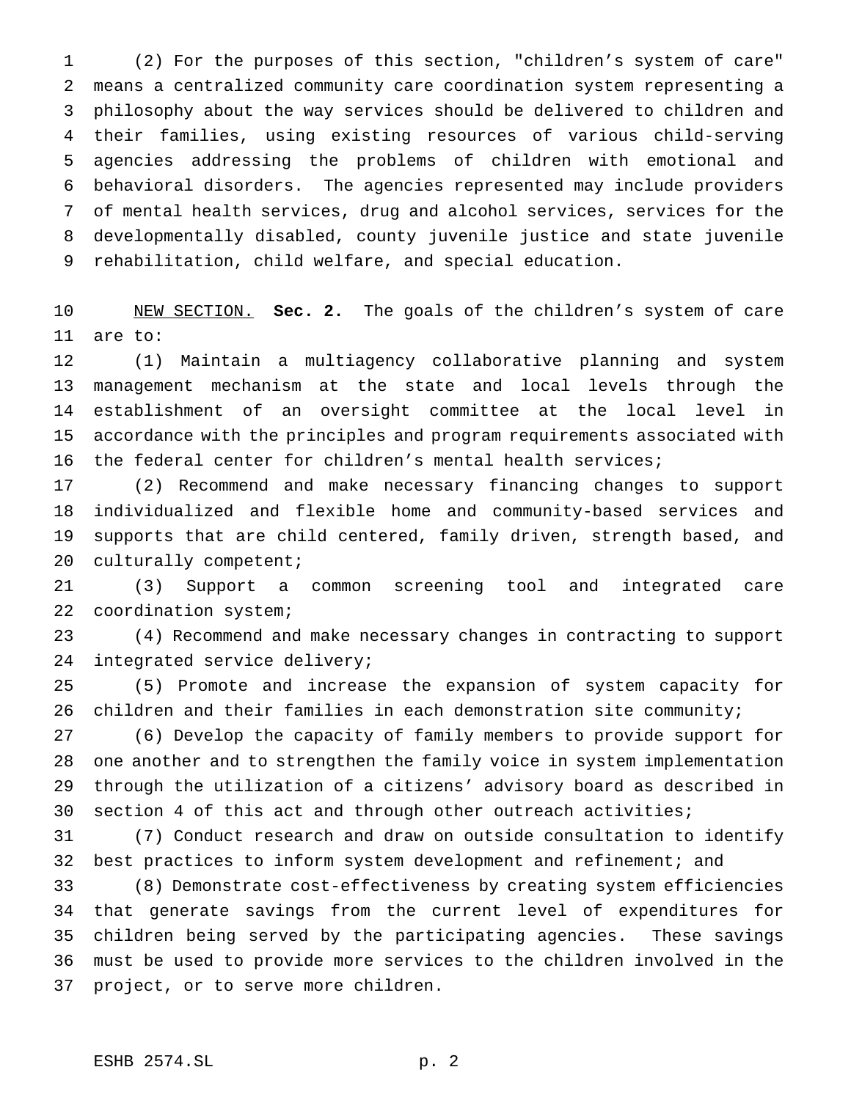(2) For the purposes of this section, "children's system of care" means a centralized community care coordination system representing a philosophy about the way services should be delivered to children and their families, using existing resources of various child-serving agencies addressing the problems of children with emotional and behavioral disorders. The agencies represented may include providers of mental health services, drug and alcohol services, services for the developmentally disabled, county juvenile justice and state juvenile rehabilitation, child welfare, and special education.

 NEW SECTION. **Sec. 2.** The goals of the children's system of care are to:

 (1) Maintain a multiagency collaborative planning and system management mechanism at the state and local levels through the establishment of an oversight committee at the local level in accordance with the principles and program requirements associated with the federal center for children's mental health services;

 (2) Recommend and make necessary financing changes to support individualized and flexible home and community-based services and supports that are child centered, family driven, strength based, and culturally competent;

 (3) Support a common screening tool and integrated care coordination system;

 (4) Recommend and make necessary changes in contracting to support integrated service delivery;

 (5) Promote and increase the expansion of system capacity for children and their families in each demonstration site community;

 (6) Develop the capacity of family members to provide support for one another and to strengthen the family voice in system implementation through the utilization of a citizens' advisory board as described in section 4 of this act and through other outreach activities;

 (7) Conduct research and draw on outside consultation to identify best practices to inform system development and refinement; and

 (8) Demonstrate cost-effectiveness by creating system efficiencies that generate savings from the current level of expenditures for children being served by the participating agencies. These savings must be used to provide more services to the children involved in the project, or to serve more children.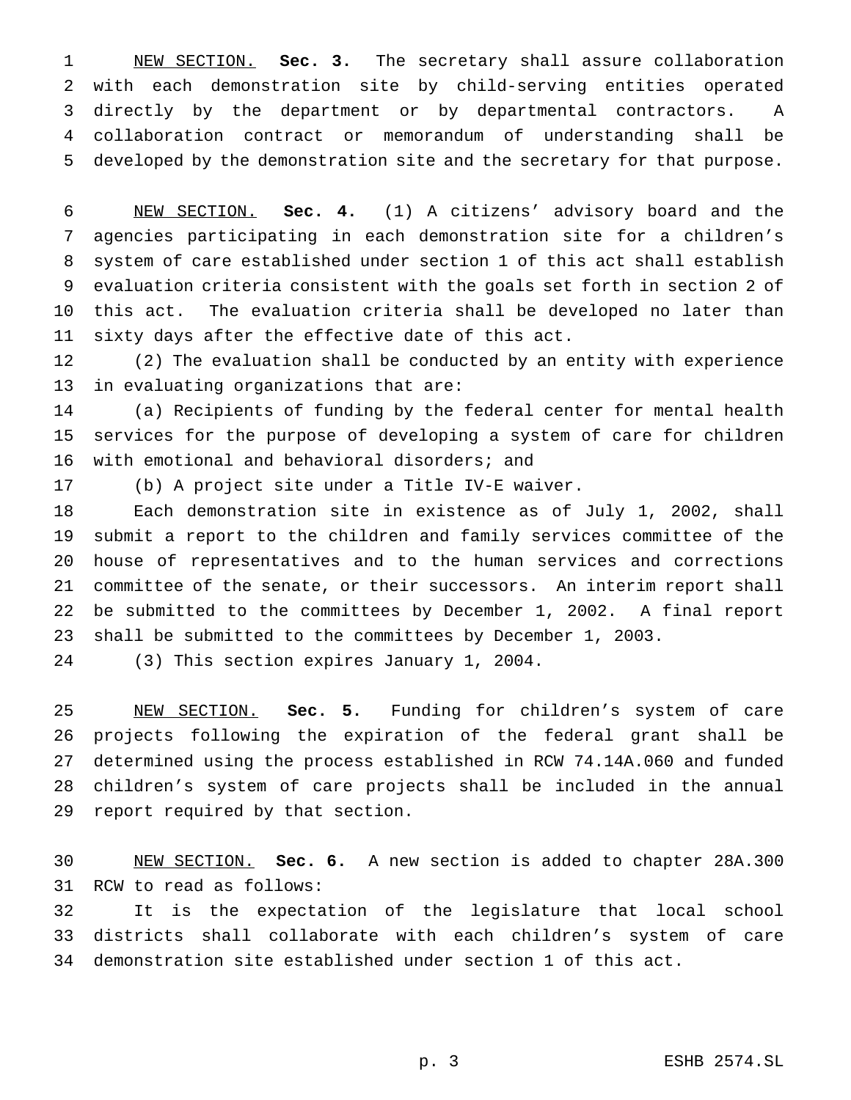NEW SECTION. **Sec. 3.** The secretary shall assure collaboration with each demonstration site by child-serving entities operated directly by the department or by departmental contractors. A collaboration contract or memorandum of understanding shall be developed by the demonstration site and the secretary for that purpose.

 NEW SECTION. **Sec. 4.** (1) A citizens' advisory board and the agencies participating in each demonstration site for a children's system of care established under section 1 of this act shall establish evaluation criteria consistent with the goals set forth in section 2 of this act. The evaluation criteria shall be developed no later than sixty days after the effective date of this act.

 (2) The evaluation shall be conducted by an entity with experience in evaluating organizations that are:

 (a) Recipients of funding by the federal center for mental health services for the purpose of developing a system of care for children with emotional and behavioral disorders; and

(b) A project site under a Title IV-E waiver.

 Each demonstration site in existence as of July 1, 2002, shall submit a report to the children and family services committee of the house of representatives and to the human services and corrections committee of the senate, or their successors. An interim report shall be submitted to the committees by December 1, 2002. A final report shall be submitted to the committees by December 1, 2003.

(3) This section expires January 1, 2004.

 NEW SECTION. **Sec. 5.** Funding for children's system of care projects following the expiration of the federal grant shall be determined using the process established in RCW 74.14A.060 and funded children's system of care projects shall be included in the annual report required by that section.

 NEW SECTION. **Sec. 6.** A new section is added to chapter 28A.300 RCW to read as follows:

 It is the expectation of the legislature that local school districts shall collaborate with each children's system of care demonstration site established under section 1 of this act.